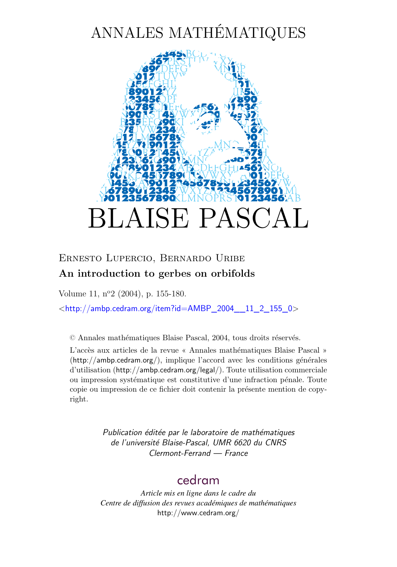# ANNALES MATHÉMATIQUES



# Ernesto Lupercio, Bernardo Uribe **An introduction to gerbes on orbifolds**

Volume 11, n<sup>o</sup>2 (2004), p. 155[-180.](#page-23-0)

<[http://ambp.cedram.org/item?id=AMBP\\_2004\\_\\_11\\_2\\_155\\_0](http://ambp.cedram.org/item?id=AMBP_2004__11_2_155_0)>

© Annales mathématiques Blaise Pascal, 2004, tous droits réservés.

L'accès aux articles de la revue « Annales mathématiques Blaise Pascal » (<http://ambp.cedram.org/>), implique l'accord avec les conditions générales d'utilisation (<http://ambp.cedram.org/legal/>). Toute utilisation commerciale ou impression systématique est constitutive d'une infraction pénale. Toute copie ou impression de ce fichier doit contenir la présente mention de copyright.

> *Publication éditée par le laboratoire de mathématiques de l'université Blaise-Pascal, UMR 6620 du CNRS Clermont-Ferrand — France*

# [cedram](http://www.cedram.org/)

*Article mis en ligne dans le cadre du Centre de diffusion des revues académiques de mathématiques* <http://www.cedram.org/>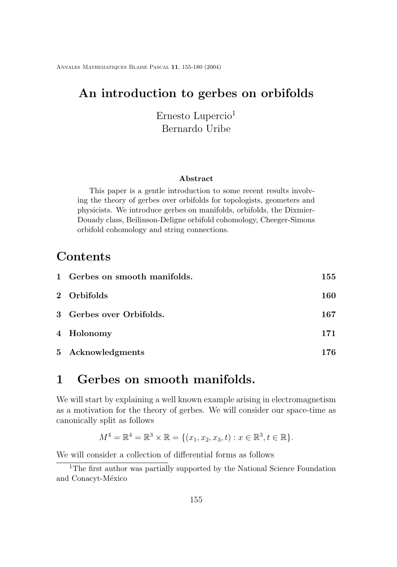Annales Mathematiques Blaise Pascal **11**, 155[-180](#page-23-0) (2004)

# **An introduction to gerbes on orbifolds**

Ernesto Lupercio<sup>1</sup> Bernardo Uribe

### **Abstract**

This paper is a gentle introduction to some recent results involving the theory of gerbes over orbifolds for topologists, geometers and physicists. We introduce gerbes on manifolds, orbifolds, the Dixmier-Douady class, Beilinson-Deligne orbifold cohomology, Cheeger-Simons orbifold cohomology and string connections.

# **Contents**

| 1 Gerbes on smooth manifolds. | 155 |
|-------------------------------|-----|
| 2 Orbifolds                   | 160 |
| 3 Gerbes over Orbifolds.      | 167 |
| 4 Holonomy                    | 171 |
| 5 Acknowledgments             | 176 |

# **1 Gerbes on smooth manifolds.**

We will start by explaining a well known example arising in electromagnetism as a motivation for the theory of gerbes. We will consider our space-time as canonically split as follows

$$
M^{4} = \mathbb{R}^{4} = \mathbb{R}^{3} \times \mathbb{R} = \{ (x_{1}, x_{2}, x_{3}, t) : x \in \mathbb{R}^{3}, t \in \mathbb{R} \}.
$$

We will consider a collection of differential forms as follows

<sup>&</sup>lt;sup>1</sup>The first author was partially supported by the National Science Foundation and Conacyt-México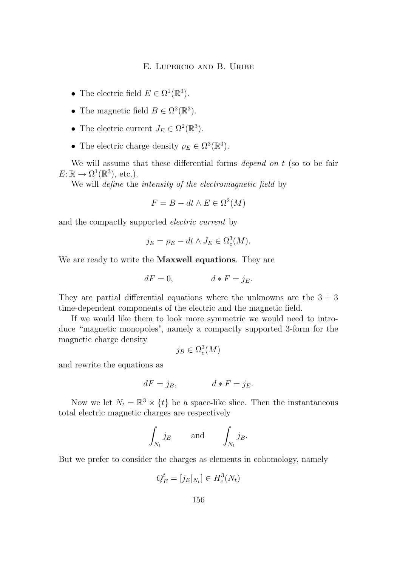- The electric field  $E \in \Omega^1(\mathbb{R}^3)$ .
- The magnetic field  $B \in \Omega^2(\mathbb{R}^3)$ .
- The electric current  $J_E \in \Omega^2(\mathbb{R}^3)$ .
- The electric charge density  $\rho_E \in \Omega^3(\mathbb{R}^3)$ .

We will assume that these differential forms *depend on* t (so to be fair  $E: \mathbb{R} \to \Omega^1(\mathbb{R}^3)$ , etc.).

We will *define* the *intensity of the electromagnetic field* by

$$
F = B - dt \wedge E \in \Omega^2(M)
$$

and the compactly supported *electric current* by

$$
j_E = \rho_E - dt \wedge J_E \in \Omega_c^3(M).
$$

We are ready to write the **Maxwell equations**. They are

$$
dF = 0, \t\t d * F = j_E.
$$

They are partial differential equations where the unknowns are the  $3 + 3$ time-dependent components of the electric and the magnetic field.

If we would like them to look more symmetric we would need to introduce "magnetic monopoles", namely a compactly supported 3-form for the magnetic charge density

$$
j_B \in \Omega_c^3(M)
$$

and rewrite the equations as

$$
dF = j_B, \t d * F = j_E.
$$

Now we let  $N_t = \mathbb{R}^3 \times \{t\}$  be a space-like slice. Then the instantaneous total electric magnetic charges are respectively

$$
\int_{N_t} j_E \quad \text{and} \quad \int_{N_t} j_B.
$$

But we prefer to consider the charges as elements in cohomology, namely

$$
Q_E^t = [j_E|_{N_t}] \in H_c^3(N_t)
$$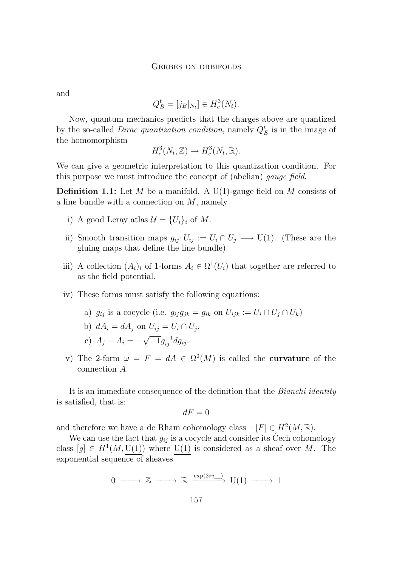and

$$
Q_B^t = [j_B|_{N_t}] \in H_c^3(N_t).
$$

Now, quantum mechanics predicts that the charges above are quantized by the so-called *Dirac quantization condition*, namely  $Q_E^t$  is in the image of the homomorphism

$$
H_c^3(N_t, \mathbb{Z}) \to H_c^3(N_t, \mathbb{R}).
$$

We can give a geometric interpretation to this quantization condition. For this purpose we must introduce the concept of (abelian) *gauge field*.

**Definition 1.1:** Let M be a manifold. A U(1)-gauge field on M consists of a line bundle with a connection on  $M$ , namely

- i) A good Leray atlas  $\mathcal{U} = \{U_i\}_i$  of M.
- ii) Smooth transition maps  $g_{ij}: U_{ij} := U_i \cap U_j \longrightarrow U(1)$ . (These are the gluing maps that define the line bundle).
- iii) A collection  $(A_i)_i$  of 1-forms  $A_i \in \Omega^1(U_i)$  that together are referred to as the field potential.
- iv) These forms must satisfy the following equations:
	- a)  $g_{ii}$  is a cocycle (i.e.  $g_{ii}g_{jk} = g_{ik}$  on  $U_{ijk} := U_i \cap U_j \cap U_k$ )
	- b)  $dA_i = dA_j$  on  $U_{ij} = U_i \cap U_j$ .
	- c)  $A_j A_i = -$ √  $\overline{-1}g_{ij}^{-1}dg_{ij}$ .
- v) The 2-form  $\omega = F = dA \in \Omega^2(M)$  is called the **curvature** of the connection A.

It is an immediate consequence of the definition that the *Bianchi identity* is satisfied, that is:

$$
dF=0
$$

and therefore we have a de Rham cohomology class  $-[F] \in H^2(M, \mathbb{R})$ .

We can use the fact that  $g_{ij}$  is a cocycle and consider its Čech cohomology class  $[g] \in H^1(M, U(1))$  where  $U(1)$  is considered as a sheaf over M. The exponential sequence of sheaves

 $0 \longrightarrow \mathbb{Z} \longrightarrow \mathbb{R} \stackrel{\exp(2\pi i)}{\longrightarrow} U(1) \longrightarrow 1$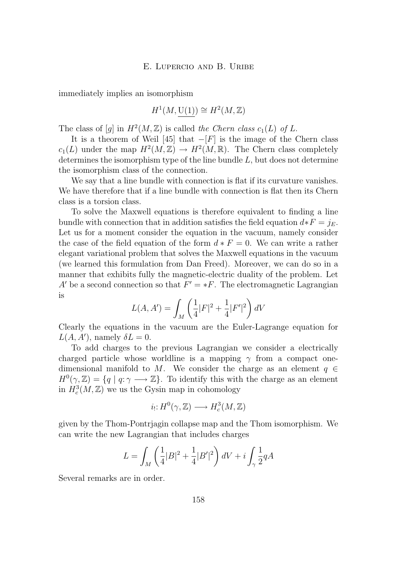immediately implies an isomorphism

$$
H^1(M, \mathrm{U}(1)) \cong H^2(M, \mathbb{Z})
$$

The class of  $[g]$  in  $H^2(M, \mathbb{Z})$  is called *the Chern class*  $c_1(L)$  of L.

It is a theorem of Weil [\[45\]](#page-26-0) that  $-[F]$  is the image of the Chern class  $c_1(L)$  under the map  $H^2(M,\mathbb{Z}) \to H^2(M,\mathbb{R})$ . The Chern class completely determines the isomorphism type of the line bundle  $L$ , but does not determine the isomorphism class of the connection.

We say that a line bundle with connection is flat if its curvature vanishes. We have therefore that if a line bundle with connection is flat then its Chern class is a torsion class.

To solve the Maxwell equations is therefore equivalent to finding a line bundle with connection that in addition satisfies the field equation  $d * F = j_E$ . Let us for a moment consider the equation in the vacuum, namely consider the case of the field equation of the form  $d * F = 0$ . We can write a rather elegant variational problem that solves the Maxwell equations in the vacuum (we learned this formulation from Dan Freed). Moreover, we can do so in a manner that exhibits fully the magnetic-electric duality of the problem. Let A' be a second connection so that  $F' = *F$ . The electromagnetic Lagrangian is

$$
L(A, A') = \int_M \left(\frac{1}{4}|F|^2 + \frac{1}{4}|F'|^2\right)dV
$$

Clearly the equations in the vacuum are the Euler-Lagrange equation for  $L(A, A')$ , namely  $\delta L = 0$ .

To add charges to the previous Lagrangian we consider a electrically charged particle whose worldline is a mapping  $\gamma$  from a compact onedimensional manifold to M. We consider the charge as an element  $q \in$  $H^0(\gamma,\mathbb{Z}) = \{q \mid q: \gamma \longrightarrow \mathbb{Z}\}.$  To identify this with the charge as an element in  $H_c^3(M, \mathbb{Z})$  we us the Gysin map in cohomology

$$
i_!\colon\! H^0(\gamma,\mathbb{Z})\longrightarrow H^3_c(M,\mathbb{Z})
$$

given by the Thom-Pontrjagin collapse map and the Thom isomorphism. We can write the new Lagrangian that includes charges

$$
L = \int_M \left(\frac{1}{4}|B|^2 + \frac{1}{4}|B'|^2\right)dV + i\int_{\gamma}\frac{1}{2}qA
$$

Several remarks are in order.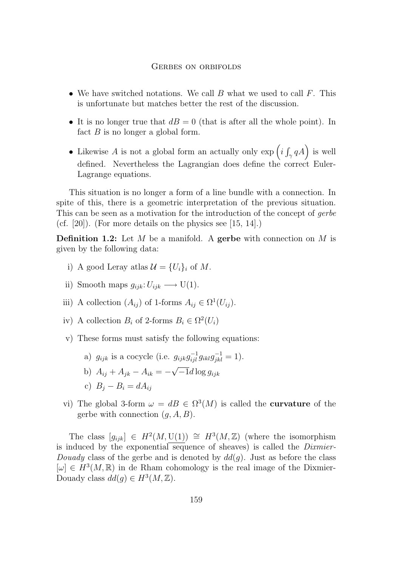#### Gerbes on orbifolds

- <span id="page-5-0"></span>• We have switched notations. We call  $B$  what we used to call  $F$ . This is unfortunate but matches better the rest of the discussion.
- It is no longer true that  $dB = 0$  (that is after all the whole point). In fact  $B$  is no longer a global form.
- Likewise A is not a global form an actually only  $\exp\left(i\int_{\gamma} qA\right)$  is well defined. Nevertheless the Lagrangian does define the correct Euler-Lagrange equations.

This situation is no longer a form of a line bundle with a connection. In spite of this, there is a geometric interpretation of the previous situation. This can be seen as a motivation for the introduction of the concept of *gerbe* (cf. [\[20\]](#page-24-0)). (For more details on the physics see [\[15,](#page-24-0) [14\]](#page-24-0).)

**Definition 1.2:** Let M be a manifold. A **gerbe** with connection on M is given by the following data:

- i) A good Leray atlas  $\mathcal{U} = \{U_i\}_i$  of M.
- ii) Smooth maps  $g_{ijk}: U_{ijk} \longrightarrow U(1)$ .
- iii) A collection  $(A_{ij})$  of 1-forms  $A_{ij} \in \Omega^1(U_{ij})$ .
- iv) A collection  $B_i$  of 2-forms  $B_i \in \Omega^2(U_i)$
- v) These forms must satisfy the following equations:
	- a)  $g_{ijk}$  is a cocycle (i.e.  $g_{ijk}g_{ijl}^{-1}g_{ikl}g_{jkl}^{-1} = 1$ ). √
	- b)  $A_{ij} + A_{jk} A_{ik} = -1d\log g_{ijk}$
	- c)  $B_i B_i = dA_{ii}$
- vi) The global 3-form  $\omega = dB \in \Omega^3(M)$  is called the **curvature** of the gerbe with connection  $(g, A, B)$ .

The class  $[g_{ijk}] \in H^2(M, U(1)) \cong H^3(M, \mathbb{Z})$  (where the isomorphism is induced by the exponential sequence of sheaves) is called the *Dixmier-Douady* class of the gerbe and is denoted by  $dd(g)$ . Just as before the class  $[\omega] \in H^3(M,\mathbb{R})$  in de Rham cohomology is the real image of the Dixmier-Douady class  $dd(g) \in H^3(M, \mathbb{Z})$ .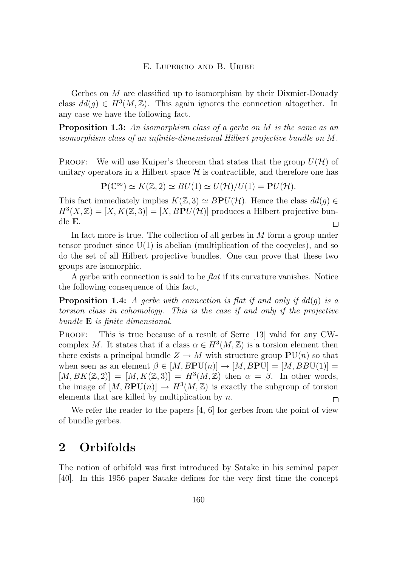<span id="page-6-0"></span>Gerbes on M are classified up to isomorphism by their Dixmier-Douady class  $dd(g) \in H^3(M, \mathbb{Z})$ . This again ignores the connection altogether. In any case we have the following fact.

**Proposition 1.3:** *An isomorphism class of a gerbe on* M *is the same as an isomorphism class of an infinite-dimensional Hilbert projective bundle on* M*.*

**PROOF:** We will use Kuiper's theorem that states that the group  $U(\mathcal{H})$  of unitary operators in a Hilbert space  $\mathcal H$  is contractible, and therefore one has

 $\mathbf{P}(\mathbb{C}^{\infty}) \simeq K(\mathbb{Z}, 2) \simeq BU(1) \simeq U(\mathcal{H})/U(1) = \mathbf{P}U(\mathcal{H}).$ 

This fact immediately implies  $K(\mathbb{Z}, 3) \simeq BPU(\mathcal{H})$ . Hence the class  $dd(q) \in$  $H^3(X,\mathbb{Z}) = [X, K(\mathbb{Z},3)] = [X, BPU(\mathcal{H})]$  produces a Hilbert projective bundle E.  $\Box$ 

In fact more is true. The collection of all gerbes in  $M$  form a group under tensor product since  $U(1)$  is abelian (multiplication of the cocycles), and so do the set of all Hilbert projective bundles. One can prove that these two groups are isomorphic.

A gerbe with connection is said to be *flat* if its curvature vanishes. Notice the following consequence of this fact,

**Proposition 1.4:** *A gerbe with connection is flat if and only if* dd(g) *is a torsion class in cohomology. This is the case if and only if the projective bundle* E *is finite dimensional.*

PROOF: This is true because of a result of Serre [\[13\]](#page-24-0) valid for any CWcomplex M. It states that if a class  $\alpha \in H^3(M, \mathbb{Z})$  is a torsion element then there exists a principal bundle  $Z \to M$  with structure group  $PU(n)$  so that when seen as an element  $\beta \in [M, BPU(n)] \rightarrow [M, BPU] = [M, BBU(1)] =$  $[M, BK(\mathbb{Z}, 2)] = [M, K(\mathbb{Z}, 3)] = H^3(M, \mathbb{Z})$  then  $\alpha = \beta$ . In other words, the image of  $[M, BPU(n)] \rightarrow H^3(M, \mathbb{Z})$  is exactly the subgroup of torsion elements that are killed by multiplication by  $n$ .  $\Box$ 

We refer the reader to the papers [\[4,](#page-23-0) [6\]](#page-23-0) for gerbes from the point of view of bundle gerbes.

# **2 Orbifolds**

The notion of orbifold was first introduced by Satake in his seminal paper [\[40\]](#page-26-0). In this 1956 paper Satake defines for the very first time the concept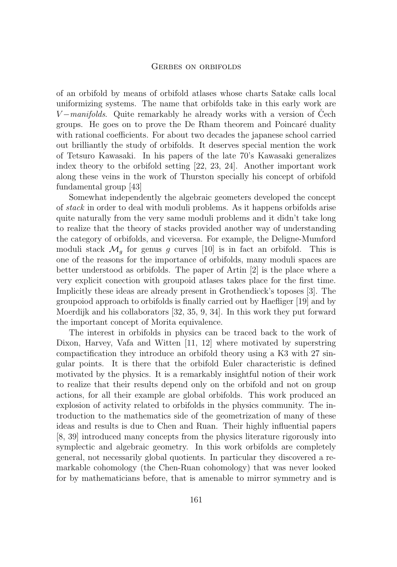#### Gerbes on orbifolds

of an orbifold by means of orbifold atlases whose charts Satake calls local uniformizing systems. The name that orbifolds take in this early work are V −*manifolds*. Quite remarkably he already works with a version of Čech groups. He goes on to prove the De Rham theorem and Poincaré duality with rational coefficients. For about two decades the japanese school carried out brilliantly the study of orbifolds. It deserves special mention the work of Tetsuro Kawasaki. In his papers of the late 70's Kawasaki generalizes index theory to the orbifold setting [\[22,](#page-24-0) [23,](#page-24-0) [24\]](#page-24-0). Another important work along these veins in the work of Thurston specially his concept of orbifold fundamental group [\[43\]](#page-26-0)

Somewhat independently the algebraic geometers developed the concept of *stack* in order to deal with moduli problems. As it happens orbifolds arise quite naturally from the very same moduli problems and it didn't take long to realize that the theory of stacks provided another way of understanding the category of orbifolds, and viceversa. For example, the Deligne-Mumford moduli stack  $\mathcal{M}_q$  for genus g curves [\[10\]](#page-23-0) is in fact an orbifold. This is one of the reasons for the importance of orbifolds, many moduli spaces are better understood as orbifolds. The paper of Artin [\[2\]](#page-23-0) is the place where a very explicit conection with groupoid atlases takes place for the first time. Implicitly these ideas are already present in Grothendieck's toposes [\[3\]](#page-23-0). The groupoiod approach to orbifolds is finally carried out by Haefliger [\[19\]](#page-24-0) and by Moerdijk and his collaborators [\[32,](#page-25-0) [35,](#page-25-0) [9,](#page-23-0) [34\]](#page-25-0). In this work they put forward the important concept of Morita equivalence.

The interest in orbifolds in physics can be traced back to the work of Dixon, Harvey, Vafa and Witten [\[11,](#page-23-0) [12\]](#page-24-0) where motivated by superstring compactification they introduce an orbifold theory using a K3 with 27 singular points. It is there that the orbifold Euler characteristic is defined motivated by the physics. It is a remarkably insightful notion of their work to realize that their results depend only on the orbifold and not on group actions, for all their example are global orbifolds. This work produced an explosion of activity related to orbifolds in the physics community. The introduction to the mathematics side of the geometrization of many of these ideas and results is due to Chen and Ruan. Their highly influential papers [\[8,](#page-23-0) [39\]](#page-26-0) introduced many concepts from the physics literature rigorously into symplectic and algebraic geometry. In this work orbifolds are completely general, not necessarily global quotients. In particular they discovered a remarkable cohomology (the Chen-Ruan cohomology) that was never looked for by mathematicians before, that is amenable to mirror symmetry and is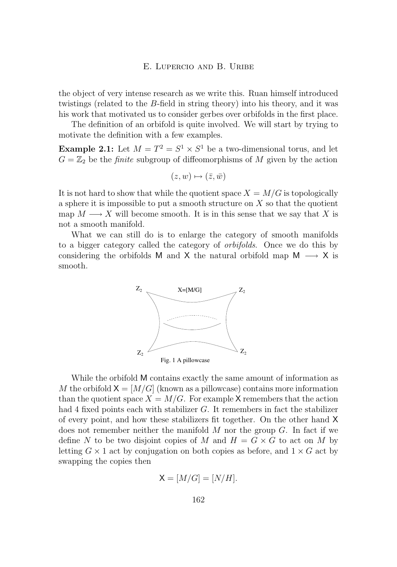### E. LUPERCIO AND B. URIBE

<span id="page-8-0"></span>the object of very intense research as we write this. Ruan himself introduced twistings (related to the B-field in string theory) into his theory, and it was his work that motivated us to consider gerbes over orbifolds in the first place.

The definition of an orbifold is quite involved. We will start by trying to motivate the definition with a few examples.

**Example 2.1:** Let  $M = T^2 = S^1 \times S^1$  be a two-dimensional torus, and let  $G = \mathbb{Z}_2$  be the *finite* subgroup of diffeomorphisms of M given by the action

$$
(z,w)\mapsto (\bar{z},\bar{w})
$$

It is not hard to show that while the quotient space  $X = M/G$  is topologically a sphere it is impossible to put a smooth structure on  $X$  so that the quotient map  $M \longrightarrow X$  will become smooth. It is in this sense that we say that X is not a smooth manifold.

What we can still do is to enlarge the category of smooth manifolds to a bigger category called the category of *orbifolds*. Once we do this by considering the orbifolds M and X the natural orbifold map  $M \longrightarrow X$  is smooth.



While the orbifold M contains exactly the same amount of information as M the orbifold  $X = [M/G]$  (known as a pillowcase) contains more information than the quotient space  $X = M/G$ . For example X remembers that the action had 4 fixed points each with stabilizer  $G$ . It remembers in fact the stabilizer of every point, and how these stabilizers fit together. On the other hand X does not remember neither the manifold  $M$  nor the group  $G$ . In fact if we define N to be two disjoint copies of M and  $H = G \times G$  to act on M by letting  $G \times 1$  act by conjugation on both copies as before, and  $1 \times G$  act by swapping the copies then

$$
X = [M/G] = [N/H].
$$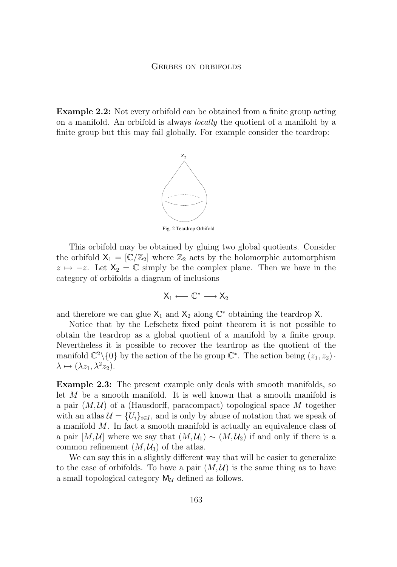**Example 2.2:** Not every orbifold can be obtained from a finite group acting on a manifold. An orbifold is always *locally* the quotient of a manifold by a finite group but this may fail globally. For example consider the teardrop:



Fig. 2 Teardrop Orbifold

This orbifold may be obtained by gluing two global quotients. Consider the orbifold  $X_1 = [\mathbb{C}/\mathbb{Z}_2]$  where  $\mathbb{Z}_2$  acts by the holomorphic automorphism  $z \mapsto -z$ . Let  $X_2 = \mathbb{C}$  simply be the complex plane. Then we have in the category of orbifolds a diagram of inclusions

 $X_1 \longleftarrow \mathbb{C}^* \longrightarrow X_2$ 

and therefore we can glue  $X_1$  and  $X_2$  along  $\mathbb{C}^*$  obtaining the teardrop X.

Notice that by the Lefschetz fixed point theorem it is not possible to obtain the teardrop as a global quotient of a manifold by a finite group. Nevertheless it is possible to recover the teardrop as the quotient of the manifold  $\mathbb{C}^2 \setminus \{0\}$  by the action of the lie group  $\mathbb{C}^*$ . The action being  $(z_1, z_2)$ .  $\lambda \mapsto (\lambda z_1, \lambda^2 z_2).$ 

**Example 2.3:** The present example only deals with smooth manifolds, so let M be a smooth manifold. It is well known that a smooth manifold is a pair  $(M, U)$  of a (Hausdorff, paracompact) topological space M together with an atlas  $\mathcal{U} = \{U_i\}_{i \in I}$ , and is only by abuse of notation that we speak of a manifold M. In fact a smooth manifold is actually an equivalence class of a pair  $[M, \mathcal{U}]$  where we say that  $(M, \mathcal{U}_1) \sim (M, \mathcal{U}_2)$  if and only if there is a common refinement  $(M, \mathcal{U}_3)$  of the atlas.

We can say this in a slightly different way that will be easier to generalize to the case of orbifolds. To have a pair  $(M, \mathcal{U})$  is the same thing as to have a small topological category  $M_{\mathcal{U}}$  defined as follows.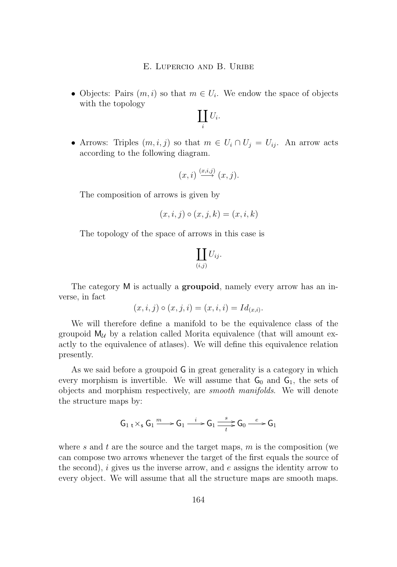• Objects: Pairs  $(m, i)$  so that  $m \in U_i$ . We endow the space of objects with the topology

$$
\coprod_i U_i.
$$

• Arrows: Triples  $(m, i, j)$  so that  $m \in U_i \cap U_j = U_{ij}$ . An arrow acts according to the following diagram.

$$
(x,i) \stackrel{(x,i,j)}{\longrightarrow} (x,j).
$$

The composition of arrows is given by

$$
(x,i,j) \circ (x,j,k) = (x,i,k)
$$

The topology of the space of arrows in this case is

$$
\coprod_{(i,j)} U_{ij}.
$$

The category M is actually a **groupoid**, namely every arrow has an inverse, in fact

$$
(x, i, j) \circ (x, j, i) = (x, i, i) = Id_{(x, i)}.
$$

We will therefore define a manifold to be the equivalence class of the groupoid  $M_{\mathcal{U}}$  by a relation called Morita equivalence (that will amount exactly to the equivalence of atlases). We will define this equivalence relation presently.

As we said before a groupoid G in great generality is a category in which every morphism is invertible. We will assume that  $G_0$  and  $G_1$ , the sets of objects and morphism respectively, are *smooth manifolds*. We will denote the structure maps by:

$$
\mathsf{G}_1 \mathop{\downarrow} \times_s \mathsf{G}_1 \xrightarrow{m} \mathsf{G}_1 \xrightarrow{i} \mathsf{G}_1 \xrightarrow{s} \mathsf{G}_0 \xrightarrow{e} \mathsf{G}_1
$$

where s and t are the source and the target maps,  $m$  is the composition (we can compose two arrows whenever the target of the first equals the source of the second),  $i$  gives us the inverse arrow, and  $e$  assigns the identity arrow to every object. We will assume that all the structure maps are smooth maps.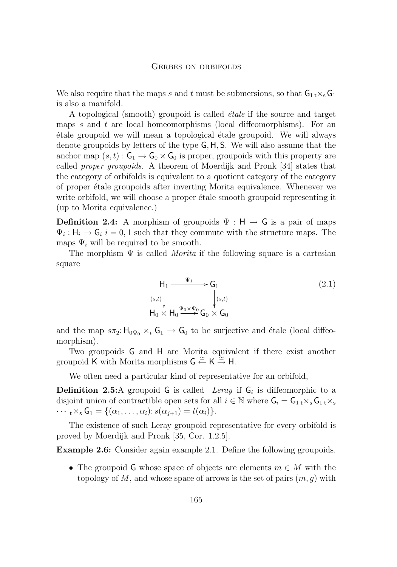### GERBES ON ORBIFOLDS

We also require that the maps s and t must be submersions, so that  $G_1 \times_S G_1$ is also a manifold.

A topological (smooth) groupoid is called *étale* if the source and target maps s and t are local homeomorphisms (local diffeomorphisms). For an étale groupoid we will mean a topological étale groupoid. We will always denote groupoids by letters of the type G,H, S. We will also assume that the anchor map  $(s, t)$ :  $G_1 \rightarrow G_0 \times G_0$  is proper, groupoids with this property are called *proper groupoids*. A theorem of Moerdijk and Pronk [\[34\]](#page-25-0) states that the category of orbifolds is equivalent to a quotient category of the category of proper étale groupoids after inverting Morita equivalence. Whenever we write orbifold, we will choose a proper étale smooth groupoid representing it (up to Morita equivalence.)

**Definition 2.4:** A morphism of groupoids  $\Psi : H \to G$  is a pair of maps  $\Psi_i : H_i \to G_i$  i = 0, 1 such that they commute with the structure maps. The maps  $\Psi_i$  will be required to be smooth.

The morphism  $\Psi$  is called *Morita* if the following square is a cartesian square

$$
H_1 \xrightarrow{\Psi_1} G_1
$$
\n
$$
(2.1)
$$
\n
$$
H_0 \times H_0 \xrightarrow{\Psi_0 \times \Psi_0} G_0 \times G_0
$$
\n
$$
(2.1)
$$

and the map  $s\pi_2: H_{0\Psi_0} \times_t G_1 \to G_0$  to be surjective and étale (local diffeomorphism).

Two groupoids G and H are Morita equivalent if there exist another groupoid K with Morita morphisms  $G \stackrel{\simeq}{\leftarrow} K \stackrel{\simeq}{\rightarrow} H$ .

We often need a particular kind of representative for an orbifold,

**Definition 2.5:**A groupoid  $G$  is called *Leray* if  $G_i$  is diffeomorphic to a disjoint union of contractible open sets for all  $i \in \mathbb{N}$  where  $G_i = G_1 \, \chi_s G_1 \, \chi_s$  $\cdots$  t×s  $G_1 = \{(\alpha_1, \ldots, \alpha_i) : s(\alpha_{j+1}) = t(\alpha_i)\}.$ 

The existence of such Leray groupoid representative for every orbifold is proved by Moerdijk and Pronk [\[35,](#page-25-0) Cor. 1.2.5].

**Example 2.6:** Consider again example [2.1.](#page-8-0) Define the following groupoids.

• The groupoid G whose space of objects are elements  $m \in M$  with the topology of M, and whose space of arrows is the set of pairs  $(m, g)$  with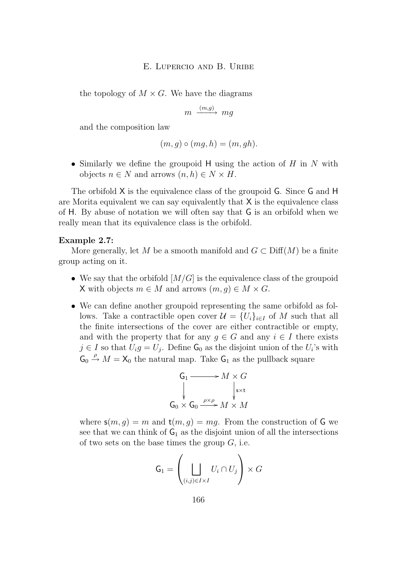<span id="page-12-0"></span>the topology of  $M \times G$ . We have the diagrams

$$
m \xrightarrow{(m,g)} mg
$$

and the composition law

$$
(m, g) \circ (mg, h) = (m, gh).
$$

• Similarly we define the groupoid H using the action of H in N with objects  $n \in N$  and arrows  $(n, h) \in N \times H$ .

The orbifold X is the equivalence class of the groupoid G. Since G and H are Morita equivalent we can say equivalently that  $X$  is the equivalence class of H. By abuse of notation we will often say that G is an orbifold when we really mean that its equivalence class is the orbifold.

#### **Example 2.7:**

More generally, let M be a smooth manifold and  $G \subset \text{Diff}(M)$  be a finite group acting on it.

- We say that the orbifold  $[M/G]$  is the equivalence class of the groupoid X with objects  $m \in M$  and arrows  $(m, q) \in M \times G$ .
- We can define another groupoid representing the same orbifold as follows. Take a contractible open cover  $\mathcal{U} = \{U_i\}_{i\in I}$  of M such that all the finite intersections of the cover are either contractible or empty, and with the property that for any  $g \in G$  and any  $i \in I$  there exists  $j \in I$  so that  $U_i g = U_j$ . Define  $\mathsf{G}_0$  as the disjoint union of the  $U_i$ 's with  $\mathsf{G}_0 \stackrel{\rho}{\rightarrow} M = \mathsf{X}_0$  the natural map. Take  $\mathsf{G}_1$  as the pullback square

$$
G_1 \longrightarrow M \times G
$$
  
\n
$$
\downarrow \qquad \qquad \downarrow s \times t
$$
  
\n
$$
G_0 \times G_0 \xrightarrow{\rho \times \rho} M \times M
$$

where  $s(m, g) = m$  and  $t(m, g) = mg$ . From the construction of G we see that we can think of  $G_1$  as the disjoint union of all the intersections of two sets on the base times the group  $G$ , i.e.

$$
\mathsf{G}_1 = \left(\bigsqcup_{(i,j)\in I\times I} U_i \cap U_j\right) \times G
$$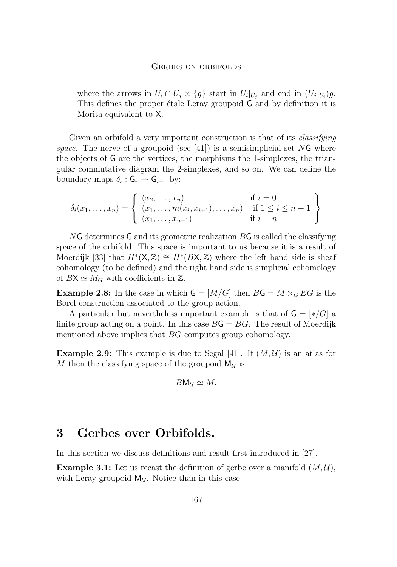#### Gerbes on orbifolds

<span id="page-13-0"></span>where the arrows in  $U_i \cap U_j \times \{g\}$  start in  $U_i|_{U_j}$  and end in  $(U_j|_{U_i})g$ . This defines the proper étale Leray groupoid G and by definition it is Morita equivalent to X.

Given an orbifold a very important construction is that of its *classifying space*. The nerve of a groupoid (see [\[41\]](#page-26-0)) is a semisimplicial set NG where the objects of G are the vertices, the morphisms the 1-simplexes, the triangular commutative diagram the 2-simplexes, and so on. We can define the boundary maps  $\delta_i : \mathsf{G}_i \to \mathsf{G}_{i-1}$  by:

$$
\delta_i(x_1, ..., x_n) = \left\{ \begin{array}{ll} (x_2, ..., x_n) & \text{if } i = 0\\ (x_1, ..., m(x_i, x_{i+1}), ..., x_n) & \text{if } 1 \leq i \leq n-1\\ (x_1, ..., x_{n-1}) & \text{if } i = n \end{array} \right\}
$$

NG determines G and its geometric realization BG is called the classifying space of the orbifold. This space is important to us because it is a result of Moerdijk [\[33\]](#page-25-0) that  $H^*(X, \mathbb{Z}) \cong H^*(BX, \mathbb{Z})$  where the left hand side is sheaf cohomology (to be defined) and the right hand side is simplicial cohomology of  $BX \simeq M_G$  with coefficients in Z.

**Example 2.8:** In the case in which  $G = [M/G]$  then  $BG = M \times_G EG$  is the Borel construction associated to the group action.

A particular but nevertheless important example is that of  $G = [\ast/G]$  a finite group acting on a point. In this case  $BG = BG$ . The result of Moerdijk mentioned above implies that BG computes group cohomology.

**Example 2.9:** This example is due to Segal [\[41\]](#page-26-0). If  $(M, U)$  is an atlas for M then the classifying space of the groupoid  $M_{\mathcal{U}}$  is

$$
B\mathsf{M}_{\mathcal{U}}\simeq M.
$$

# **3 Gerbes over Orbifolds.**

In this section we discuss definitions and result first introduced in [\[27\]](#page-25-0).

**Example 3.1:** Let us recast the definition of gerbe over a manifold  $(M, \mathcal{U})$ , with Leray groupoid  $M_{\mathcal{U}}$ . Notice than in this case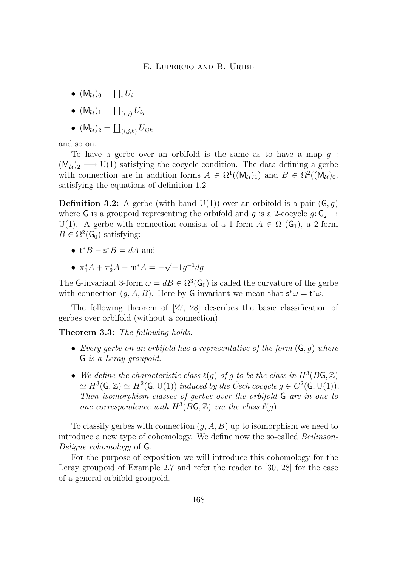- $(M_{\mathcal{U}})_0 = \coprod_i U_i$
- $\bullet \ \ (\mathsf{M}_\mathcal{U})_1 = \coprod_{(i,j)} U_{ij}$
- $\bullet \ \ (\mathsf{M}_\mathcal{U})_2 = \coprod_{(i,j,k)} U_{ijk}$

and so on.

To have a gerbe over an orbifold is the same as to have a map g :  $(M_{\mathcal{U}})_2 \longrightarrow U(1)$  satisfying the cocycle condition. The data defining a gerbe with connection are in addition forms  $A \in \Omega^1((M_{\mathcal{U}})_1)$  and  $B \in \Omega^2((M_{\mathcal{U}})_0,$ satisfying the equations of definition [1.2](#page-5-0)

**Definition 3.2:** A gerbe (with band  $U(1)$ ) over an orbifold is a pair  $(G, g)$ where G is a groupoid representing the orbifold and g is a 2-cocycle  $g: G_2 \rightarrow$ U(1). A gerbe with connection consists of a 1-form  $A \in \Omega^1(\mathsf{G}_1)$ , a 2-form  $B \in \Omega^2(\mathsf{G}_0)$  satisfying:

- $t^*B s^*B = dA$  and
- $\pi_1^* A + \pi_2^* A \mathsf{m}^* A = -\sqrt{\phantom{a^*}}$  $\overline{-1}g^{-1}dg$

The G-invariant 3-form  $\omega = dB \in \Omega^3(\mathsf{G}_0)$  is called the curvature of the gerbe with connection  $(g, A, B)$ . Here by G-invariant we mean that  $s^*\omega = t^*\omega$ .

The following theorem of [\[27,](#page-25-0) [28\]](#page-25-0) describes the basic classification of gerbes over orbifold (without a connection).

**Theorem 3.3:** *The following holds.*

- *Every gerbe on an orbifold has a representative of the form* (G, g) *where* G *is a Leray groupoid.*
- We define the characteristic class  $\ell(g)$  of g to be the class in  $H^3(B\mathsf{G}, \mathbb{Z})$  $\simeq H^3(\mathsf{G}, \mathbb{Z}) \simeq H^2(\mathsf{G}, \mathrm{U}(1))$  induced by the Čech cocycle  $g \in C^2(\mathsf{G}, \mathrm{U}(1))$ . *Then isomorphism classes of gerbes over the orbifold* G *are in one to one correspondence with*  $H^3(BG, \mathbb{Z})$  *via the class*  $\ell(g)$ *.*

To classify gerbes with connection  $(g, A, B)$  up to isomorphism we need to introduce a new type of cohomology. We define now the so-called *Beilinson-Deligne cohomology* of G.

For the purpose of exposition we will introduce this cohomology for the Leray groupoid of Example [2.7](#page-12-0) and refer the reader to [\[30,](#page-25-0) [28\]](#page-25-0) for the case of a general orbifold groupoid.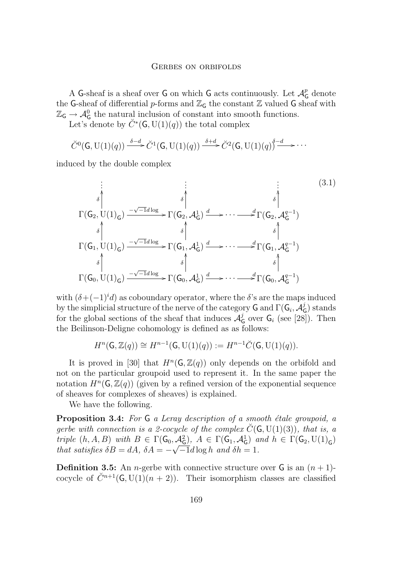A G-sheaf is a sheaf over  $G$  on which  $G$  acts continuously. Let  $\mathcal{A}_G^p$  denote the G-sheaf of differential p-forms and  $\mathbb{Z}_G$  the constant  $\mathbb Z$  valued G sheaf with  $\mathbb{Z}_G \to \mathcal{A}_G^0$  the natural inclusion of constant into smooth functions.

Let's denote by  $\check{C}^*(\mathsf{G},\mathrm{U}(1)(q))$  the total complex

$$
\check{C}^0(\mathsf{G},\mathrm{U}(1)(q)) \xrightarrow{\delta-d} \check{C}^1(\mathsf{G},\mathrm{U}(1)(q)) \xrightarrow{\delta+d} \check{C}^2(\mathsf{G},\mathrm{U}(1)(q)) \xrightarrow{\delta-d} \cdots
$$

induced by the double complex

$$
\begin{array}{cccc}\n\vdots & \vdots & \vdots & \vdots & (3.1) \\
\delta & \delta & \delta & \delta \\
\Gamma(G_2, U(1)_G) & \xrightarrow{-\sqrt{-1}d \log} \Gamma(G_2, \mathcal{A}_G^1) & \xrightarrow{\delta} \Gamma(G_2, \mathcal{A}_G^{q-1}) \\
\delta & \delta & \delta & \delta \\
\Gamma(G_1, U(1)_G) & \xrightarrow{-\sqrt{-1}d \log} \Gamma(G_1, \mathcal{A}_G^1) & \xrightarrow{\delta} \Gamma(G_1, \mathcal{A}_G^{q-1}) \\
\delta & \delta & \delta & \delta \\
\Gamma(G_0, U(1)_G) & \xrightarrow{-\sqrt{-1}d \log} \Gamma(G_0, \mathcal{A}_G^1) & \xrightarrow{\delta} \Gamma(G_0, \mathcal{A}_G^{q-1})\n\end{array}
$$
\n(3.1)

with  $(\delta + (-1)^i d)$  as coboundary operator, where the  $\delta$ 's are the maps induced by the simplicial structure of the nerve of the category  ${\mathsf G}$  and  $\Gamma({\mathsf G}_i, {\mathcal{A}}_{\mathsf C}^j)$  $^{\jmath}_{\mathsf{G}}$ ) stands for the global sections of the sheaf that induces  $\mathcal{A}_{\mathcal{C}}^{j}$  $\frac{3}{6}$  over  $G_i$  (see [\[28\]](#page-25-0)). Then the Beilinson-Deligne cohomology is defined as as follows:

 $H^n(\mathsf{G}, \mathbb{Z}(q)) \cong H^{n-1}(\mathsf{G}, \mathrm{U}(1)(q)) := H^{n-1} \check{C}(\mathsf{G}, \mathrm{U}(1)(q)).$ 

It is proved in [\[30\]](#page-25-0) that  $H^n(\mathsf{G}, \mathbb{Z}(q))$  only depends on the orbifold and not on the particular groupoid used to represent it. In the same paper the notation  $H^n(\mathsf{G}, \mathbb{Z}(q))$  (given by a refined version of the exponential sequence of sheaves for complexes of sheaves) is explained.

We have the following.

**Proposition 3.4:** *For* G *a Leray description of a smooth étale groupoid, a gerbe with connection is a 2-cocycle of the complex*  $\check{C}(\mathsf{G},U(1)(3))$ *, that is, a triple*  $(h, A, B)$  *with*  $B \in \Gamma(\mathsf{G}_0, \mathcal{A}_{\mathsf{G}}^2)$ ,  $A \in \Gamma(\mathsf{G}_1, \mathcal{A}_{\mathsf{G}}^1)$  *and*  $h \in \Gamma(\mathsf{G}_2, \mathrm{U}(1)_{\mathsf{G}})$ *that satisfies*  $\delta B = dA$ ,  $\delta A = -\sqrt{-1}d\log h$  *and*  $\delta h = 1$ *.* 

**Definition 3.5:** An *n*-gerbe with connective structure over  $\mathsf{G}$  is an  $(n+1)$ cocycle of  $\check{C}^{n+1}(\mathsf{G}, U(1)(n+2))$ . Their isomorphism classes are classified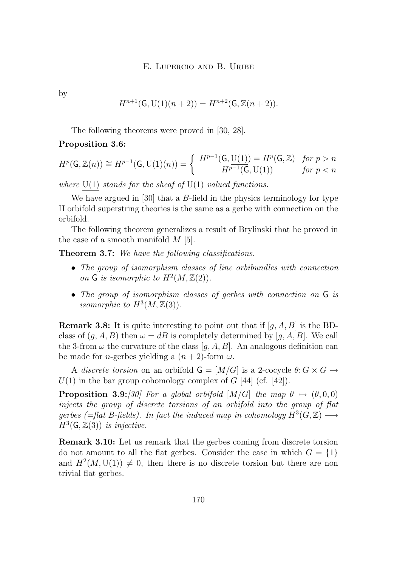by

$$
H^{n+1}(\mathsf{G}, \mathrm{U}(1)(n+2)) = H^{n+2}(\mathsf{G}, \mathbb{Z}(n+2)).
$$

The following theorems were proved in [\[30,](#page-25-0) [28\]](#page-25-0).

### **Proposition 3.6:**

$$
H^p(\mathsf{G}, \mathbb{Z}(n)) \cong H^{p-1}(\mathsf{G}, \mathrm{U}(1)(n)) = \begin{cases} H^{p-1}(\mathsf{G}, \mathrm{U}(1)) = H^p(\mathsf{G}, \mathbb{Z}) & \text{for } p > n \\ H^{p-1}(\mathsf{G}, \mathrm{U}(1)) & \text{for } p < n \end{cases}
$$

*where* U(1) *stands for the sheaf of* U(1) *valued functions.*

We have argued in [\[30\]](#page-25-0) that a B-field in the physics terminology for type II orbifold superstring theories is the same as a gerbe with connection on the orbifold.

The following theorem generalizes a result of Brylinski that he proved in the case of a smooth manifold  $M$  [\[5\]](#page-23-0).

**Theorem 3.7:** *We have the following classifications.*

- *The group of isomorphism classes of line orbibundles with connection* on  $G$  is isomorphic to  $H^2(M, \mathbb{Z}(2))$ .
- *The group of isomorphism classes of gerbes with connection on* G *is isomorphic to*  $H^3(M, \mathbb{Z}(3))$ .

**Remark 3.8:** It is quite interesting to point out that if  $[q, A, B]$  is the BDclass of  $(q, A, B)$  then  $\omega = dB$  is completely determined by  $[q, A, B]$ . We call the 3-from  $\omega$  the curvature of the class [q, A, B]. An analogous definition can be made for *n*-gerbes yielding a  $(n+2)$ -form  $\omega$ .

A *discrete torsion* on an orbifold  $\mathsf{G} = [M/G]$  is a 2-cocycle  $\theta: G \times G \rightarrow$  $U(1)$  in the bar group cohomology complex of G [\[44\]](#page-26-0) (cf. [\[42\]](#page-26-0)).

**Proposition 3.9:***[\[30\]](#page-25-0)* For a global orbifold  $[M/G]$  the map  $\theta \mapsto (\theta, 0, 0)$ *injects the group of discrete torsions of an orbifold into the group of flat* gerbes (=flat B-fields). In fact the induced map in cohomology  $H^3(G, \mathbb{Z}) \longrightarrow$  $H^3(\mathsf{G}, \mathbb{Z}(3))$  *is injective.* 

**Remark 3.10:** Let us remark that the gerbes coming from discrete torsion do not amount to all the flat gerbes. Consider the case in which  $G = \{1\}$ and  $H^2(M, U(1)) \neq 0$ , then there is no discrete torsion but there are non trivial flat gerbes.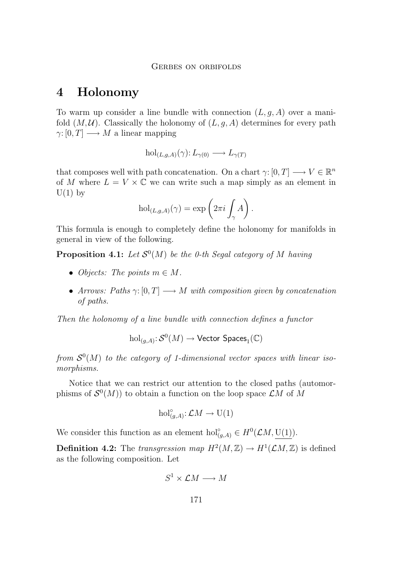# <span id="page-17-0"></span>**4 Holonomy**

To warm up consider a line bundle with connection  $(L, g, A)$  over a manifold  $(M, U)$ . Classically the holonomy of  $(L, g, A)$  determines for every path  $\gamma: [0, T] \longrightarrow M$  a linear mapping

$$
\mathrm{hol}_{(L,g,A)}(\gamma): L_{\gamma(0)} \longrightarrow L_{\gamma(T)}
$$

that composes well with path concatenation. On a chart  $\gamma: [0, T] \longrightarrow V \in \mathbb{R}^n$ of M where  $L = V \times \mathbb{C}$  we can write such a map simply as an element in  $U(1)$  by

$$
\mathrm{hol}_{(L,g,A)}(\gamma)=\exp\left(2\pi i\int_{\gamma}A\right).
$$

This formula is enough to completely define the holonomy for manifolds in general in view of the following.

**Proposition 4.1:** Let  $\mathcal{S}^0(M)$  be the 0-th Segal category of M having

- *Objects: The points*  $m \in M$ *.*
- *Arrows: Paths*  $\gamma: [0, T] \longrightarrow M$  *with composition given by concatenation of paths.*

*Then the holonomy of a line bundle with connection defines a functor*

 $\mathrm{hol}_{(g,A)}\colon\!\mathcal S^0(M)\to\mathsf{Vector}$  Spaces $_1(\mathbb C)$ 

from  $S^0(M)$  to the category of 1-dimensional vector spaces with linear iso*morphisms.*

Notice that we can restrict our attention to the closed paths (automorphisms of  $\mathcal{S}^0(M)$  to obtain a function on the loop space  $\mathcal{L}M$  of M

$$
\mathrm{hol}^{\circ}_{(g,A)} \colon \mathcal{L}M \to \mathrm{U}(1)
$$

We consider this function as an element hol<sup>°</sup><sub>(g,A)</sub>  $\in H^0(\mathcal{L}M, U(1))$ .

**Definition 4.2:** The *transgression map*  $H^2(M, \mathbb{Z}) \to H^1(\mathcal{L}M, \mathbb{Z})$  is defined as the following composition. Let

$$
S^1 \times \mathcal{L}M \longrightarrow M
$$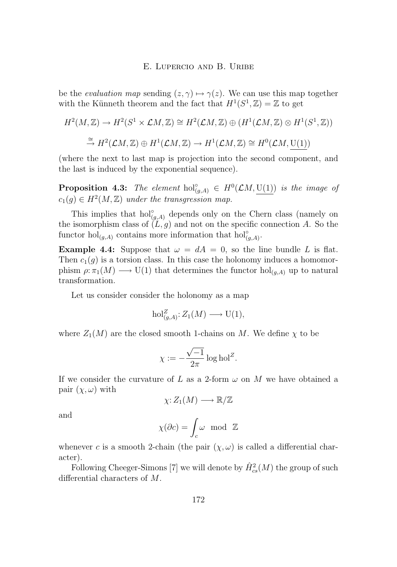be the *evaluation map* sending  $(z, \gamma) \mapsto \gamma(z)$ . We can use this map together with the Künneth theorem and the fact that  $H^1(S^1, \mathbb{Z}) = \mathbb{Z}$  to get

$$
H^2(M, \mathbb{Z}) \to H^2(S^1 \times \mathcal{L}M, \mathbb{Z}) \cong H^2(\mathcal{L}M, \mathbb{Z}) \oplus (H^1(\mathcal{L}M, \mathbb{Z}) \otimes H^1(S^1, \mathbb{Z}))
$$
  

$$
\xrightarrow{\cong} H^2(\mathcal{L}M, \mathbb{Z}) \oplus H^1(\mathcal{L}M, \mathbb{Z}) \to H^1(\mathcal{L}M, \mathbb{Z}) \cong H^0(\mathcal{L}M, \underline{U(1)})
$$

(where the next to last map is projection into the second component, and the last is induced by the exponential sequence).

**Proposition 4.3:** *The element*  $hol_{(g,A)}^{\circ} \in H^0(\mathcal{L}M, \underline{U(1)})$  *is the image of*  $c_1(g) \in H^2(M, \mathbb{Z})$  under the transgression map.

This implies that  $hol_{(g,A)}^{\circ}$  depends only on the Chern class (namely on the isomorphism class of  $(L, g)$  and not on the specific connection A. So the functor hol<sub>(g,A)</sub> contains more information that hol<sup>°</sup><sub>(g,A)</sub>.

**Example 4.4:** Suppose that  $\omega = dA = 0$ , so the line bundle L is flat. Then  $c_1(q)$  is a torsion class. In this case the holonomy induces a homomorphism  $\rho: \pi_1(M) \longrightarrow U(1)$  that determines the functor  $hol_{(q,A)}$  up to natural transformation.

Let us consider consider the holonomy as a map

$$
\mathrm{hol}_{(g,A)}^Z \colon Z_1(M) \longrightarrow \mathrm{U}(1),
$$

where  $Z_1(M)$  are the closed smooth 1-chains on M. We define  $\chi$  to be

$$
\chi := -\frac{\sqrt{-1}}{2\pi} \log \text{hol}^Z.
$$

If we consider the curvature of L as a 2-form  $\omega$  on M we have obtained a pair  $(\chi, \omega)$  with

$$
\chi:Z_1(M)\longrightarrow \mathbb{R}/\mathbb{Z}
$$

and

$$
\chi(\partial c)=\int_c\omega\ \ \text{mod}\ \ {\mathbb Z}
$$

whenever c is a smooth 2-chain (the pair  $(\chi, \omega)$  is called a differential character).

Following Cheeger-Simons [\[7\]](#page-23-0) we will denote by  $\hat{H}^2_{cs}(M)$  the group of such differential characters of M.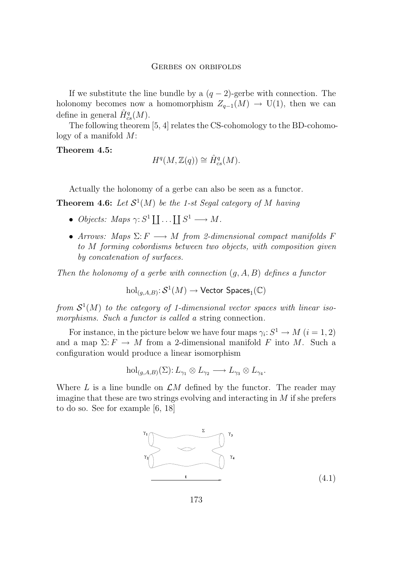If we substitute the line bundle by a  $(q-2)$ -gerbe with connection. The holonomy becomes now a homomorphism  $Z_{q-1}(M) \to U(1)$ , then we can define in general  $\hat{H}^q_{cs}(M)$ .

The following theorem [\[5,](#page-23-0) [4\]](#page-23-0) relates the CS-cohomology to the BD-cohomology of a manifold M:

# **Theorem 4.5:**

$$
H^q(M, \mathbb{Z}(q)) \cong \hat{H}^q_{cs}(M).
$$

Actually the holonomy of a gerbe can also be seen as a functor.

**Theorem 4.6:** Let  $S^1(M)$  be the 1-st Segal category of M having

- *Objects: Maps*  $\gamma: S^1 \coprod ... \coprod S^1 \longrightarrow M$ .
- *Arrows:* Maps  $\Sigma: F \longrightarrow M$  *from 2-dimensional compact manifolds* F *to* M *forming cobordisms between two objects, with composition given by concatenation of surfaces.*

*Then the holonomy of a gerbe with connection* (g, A, B) *defines a functor*

$$
\mathrm{hol}_{(g,A,B)}\colon \mathcal{S}^1(M)\to \mathsf{Vector~Spaces}_1(\mathbb{C})
$$

from  $S^1(M)$  to the category of 1-dimensional vector spaces with linear iso*morphisms. Such a functor is called a* string connection*.*

For instance, in the picture below we have four maps  $\gamma_i: S^1 \to M$   $(i = 1, 2)$ and a map  $\Sigma: F \to M$  from a 2-dimensional manifold F into M. Such a configuration would produce a linear isomorphism

$$
\mathrm{hol}_{(g,A,B)}(\Sigma) \colon L_{\gamma_1} \otimes L_{\gamma_2} \longrightarrow L_{\gamma_3} \otimes L_{\gamma_4}.
$$

Where L is a line bundle on  $\mathcal{L}M$  defined by the functor. The reader may imagine that these are two strings evolving and interacting in  $M$  if she prefers to do so. See for example [\[6,](#page-23-0) [18\]](#page-24-0)

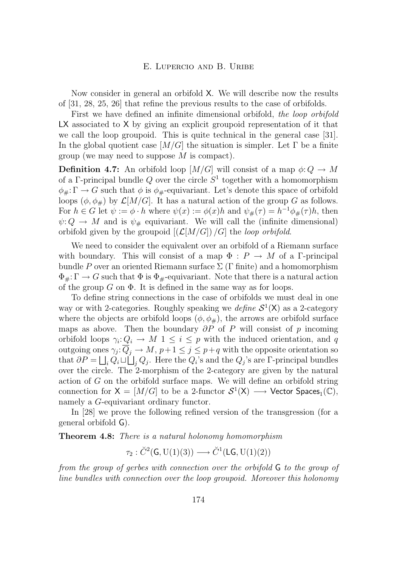Now consider in general an orbifold X. We will describe now the results of [\[31,](#page-25-0) [28,](#page-25-0) [25,](#page-24-0) [26\]](#page-25-0) that refine the previous results to the case of orbifolds.

First we have defined an infinite dimensional orbifold, *the loop orbifold* LX associated to X by giving an explicit groupoid representation of it that we call the loop groupoid. This is quite technical in the general case [\[31\]](#page-25-0). In the global quotient case  $[M/G]$  the situation is simpler. Let  $\Gamma$  be a finite group (we may need to suppose  $M$  is compact).

**Definition 4.7:** An orbifold loop  $[M/G]$  will consist of a map  $\phi: Q \to M$ of a  $\Gamma$ -principal bundle Q over the circle  $S^1$  together with a homomorphism  $\phi_{\#}: \Gamma \to G$  such that  $\phi$  is  $\phi_{\#}$ -equivariant. Let's denote this space of orbifold loops  $(\phi, \phi_{\#})$  by  $\mathcal{L}[M/G]$ . It has a natural action of the group G as follows. For  $h \in G$  let  $\psi := \phi \cdot h$  where  $\psi(x) := \phi(x)h$  and  $\psi_{\#}(\tau) = h^{-1}\phi_{\#}(\tau)h$ , then  $\psi: Q \to M$  and is  $\psi_{\#}$  equivariant. We will call the (infinite dimensional) orbifold given by the groupoid  $[(\mathcal{L}[M/G])/G]$  the *loop orbifold*.

We need to consider the equivalent over an orbifold of a Riemann surface with boundary. This will consist of a map  $\Phi : P \to M$  of a *Γ*-principal bundle P over an oriented Riemann surface  $\Sigma$  (Γ finite) and a homomorphism  $\Phi_{\#}: \Gamma \to G$  such that  $\Phi$  is  $\Phi_{\#}$ -equivariant. Note that there is a natural action of the group  $G$  on  $\Phi$ . It is defined in the same way as for loops.

To define string connections in the case of orbifolds we must deal in one way or with 2-categories. Roughly speaking we *define*  $S^1(X)$  as a 2-category where the objects are orbifold loops  $(\phi, \phi, \phi)$ , the arrows are orbifold surface maps as above. Then the boundary  $\partial P$  of P will consist of p incoming orbifold loops  $\gamma_i: Q_i \to M$  1  $\leq i \leq p$  with the induced orientation, and q outgoing ones  $\gamma_j: \overline{Q}_j \to M$ ,  $p+1 \leq j \leq p+q$  with the opposite orientation so that  $\partial P = \bigsqcup_i Q_i \sqcup \bigsqcup_j Q_j$ . Here the  $Q_i$ 's and the  $Q_j$ 's are  $\Gamma$ -principal bundles over the circle. The 2-morphism of the 2-category are given by the natural action of G on the orbifold surface maps. We will define an orbifold string connection for  $X = [M/G]$  to be a 2-functor  $S^1(X) \longrightarrow$  Vector Spaces<sub>1</sub>(C), namely a G-equivariant ordinary functor.

In [\[28\]](#page-25-0) we prove the following refined version of the transgression (for a general orbifold G).

**Theorem 4.8:** *There is a natural holonomy homomorphism*

$$
\tau_2: \check{C}^2(\mathsf{G},\mathrm{U}(1)(3)) \longrightarrow \check{C}^1(\mathsf{LG},\mathrm{U}(1)(2))
$$

*from the group of gerbes with connection over the orbifold* G *to the group of line bundles with connection over the loop groupoid. Moreover this holonomy*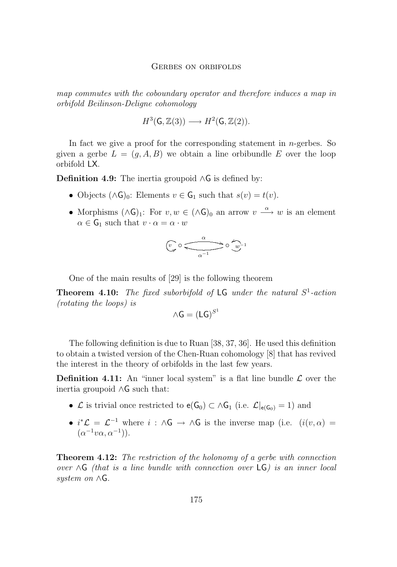*map commutes with the coboundary operator and therefore induces a map in orbifold Beilinson-Deligne cohomology*

$$
H^3(\mathsf{G},\mathbb{Z}(3)) \longrightarrow H^2(\mathsf{G},\mathbb{Z}(2)).
$$

In fact we give a proof for the corresponding statement in  $n$ -gerbes. So given a gerbe  $L = (g, A, B)$  we obtain a line orbibundle E over the loop orbifold LX.

**Definition 4.9:** The inertia groupoid ∧G is defined by:

- Objects  $(\wedge \mathsf{G})_0$ : Elements  $v \in \mathsf{G}_1$  such that  $s(v) = t(v)$ .
- Morphisms  $(\wedge \mathsf{G})_1$ : For  $v, w \in (\wedge \mathsf{G})_0$  an arrow  $v \stackrel{\alpha}{\longrightarrow} w$  is an element  $\alpha \in \mathsf{G}_1$  such that  $v \cdot \alpha = \alpha \cdot w$

$$
\underbrace{v}_{\hspace{-1mm} \alpha} \circ \underbrace{\overbrace{\hspace{1mm}}^{\hspace{1mm} \alpha \hspace{1mm}}}^{\hspace{1mm} \alpha} \circ \underbrace{\overbrace{\hspace{1mm}}^{\hspace{1mm} \alpha \hspace{1mm}}}^{\hspace{1mm} \alpha \hspace{1mm}})^{\hspace{1mm} \alpha \hspace{1mm}}
$$

One of the main results of [\[29\]](#page-25-0) is the following theorem

**Theorem 4.10:** *The fixed suborbifold of* LG *under the natural* S 1 *-action (rotating the loops) is*

$$
\wedge \mathsf{G} = (\mathsf{L}\mathsf{G})^{S^1}
$$

The following definition is due to Ruan [\[38,](#page-25-0) [37,](#page-25-0) [36\]](#page-25-0). He used this definition to obtain a twisted version of the Chen-Ruan cohomology [\[8\]](#page-23-0) that has revived the interest in the theory of orbifolds in the last few years.

**Definition 4.11:** An "inner local system" is a flat line bundle  $\mathcal{L}$  over the inertia groupoid ∧G such that:

- $\mathcal L$  is trivial once restricted to  $e(G_0) \subset \wedge G_1$  (i.e.  $\mathcal L|_{e(G_0)} = 1$ ) and
- $i^*\mathcal{L} = \mathcal{L}^{-1}$  where  $i : \wedge \mathsf{G} \to \wedge \mathsf{G}$  is the inverse map (i.e.  $(i(v, \alpha) =$  $(\alpha^{-1}v\alpha, \alpha^{-1})$ .

**Theorem 4.12:** *The restriction of the holonomy of a gerbe with connection over* ∧G *(that is a line bundle with connection over* LG*) is an inner local system on* ∧G*.*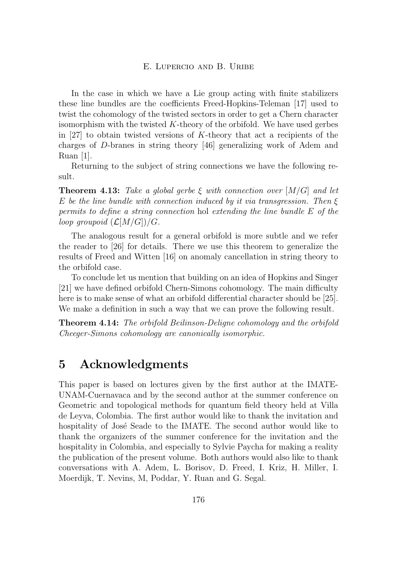<span id="page-22-0"></span>In the case in which we have a Lie group acting with finite stabilizers these line bundles are the coefficients Freed-Hopkins-Teleman [\[17\]](#page-24-0) used to twist the cohomology of the twisted sectors in order to get a Chern character isomorphism with the twisted  $K$ -theory of the orbifold. We have used gerbes in  $[27]$  to obtain twisted versions of K-theory that act a recipients of the charges of D-branes in string theory [\[46\]](#page-26-0) generalizing work of Adem and Ruan  $|1|$ .

Returning to the subject of string connections we have the following result.

**Theorem 4.13:** *Take a global gerbe* ξ *with connection over* [M/G] *and let* E *be the line bundle with connection induced by it via transgression. Then* ξ *permits to define a string connection* hol *extending the line bundle* E *of the loop groupoid*  $(\mathcal{L}[M/G])/G$ *.* 

The analogous result for a general orbifold is more subtle and we refer the reader to [\[26\]](#page-25-0) for details. There we use this theorem to generalize the results of Freed and Witten [\[16\]](#page-24-0) on anomaly cancellation in string theory to the orbifold case.

To conclude let us mention that building on an idea of Hopkins and Singer [\[21\]](#page-24-0) we have defined orbifold Chern-Simons cohomology. The main difficulty here is to make sense of what an orbifold differential character should be [\[25\]](#page-24-0). We make a definition in such a way that we can prove the following result.

**Theorem 4.14:** *The orbifold Beilinson-Deligne cohomology and the orbifold Cheeger-Simons cohomology are canonically isomorphic.*

# **5 Acknowledgments**

This paper is based on lectures given by the first author at the IMATE-UNAM-Cuernavaca and by the second author at the summer conference on Geometric and topological methods for quantum field theory held at Villa de Leyva, Colombia. The first author would like to thank the invitation and hospitality of José Seade to the IMATE. The second author would like to thank the organizers of the summer conference for the invitation and the hospitality in Colombia, and especially to Sylvie Paycha for making a reality the publication of the present volume. Both authors would also like to thank conversations with A. Adem, L. Borisov, D. Freed, I. Kriz, H. Miller, I. Moerdijk, T. Nevins, M, Poddar, Y. Ruan and G. Segal.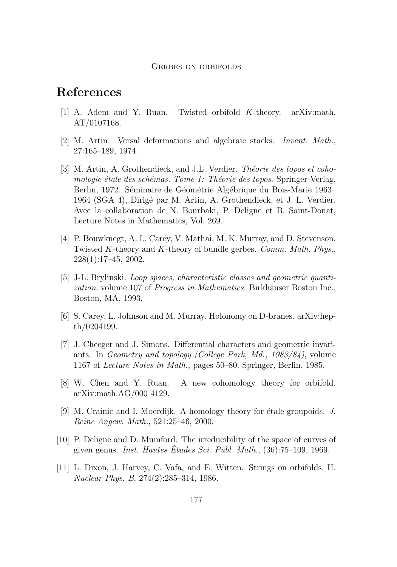#### Gerbes on orbifolds

# <span id="page-23-0"></span>**References**

- [1] A. Adem and Y. Ruan. Twisted orbifold K-theory. arXiv:math. AT/0107168.
- [2] M. Artin. Versal deformations and algebraic stacks. *Invent. Math.*, 27:165–189, 1974.
- [3] M. Artin, A. Grothendieck, and J.L. Verdier. *Théorie des topos et cohomologie étale des schémas. Tome 1: Théorie des topos*. Springer-Verlag, Berlin, 1972. Séminaire de Géométrie Algébrique du Bois-Marie 1963– 1964 (SGA 4), Dirigé par M. Artin, A. Grothendieck, et J. L. Verdier. Avec la collaboration de N. Bourbaki, P. Deligne et B. Saint-Donat, Lecture Notes in Mathematics, Vol. 269.
- [4] P. Bouwknegt, A. L. Carey, V. Mathai, M. K. Murray, and D. Stevenson. Twisted K-theory and K-theory of bundle gerbes. *Comm. Math. Phys.*, 228(1):17–45, 2002.
- [5] J-L. Brylinski. *Loop spaces, characteristic classes and geometric quantization*, volume 107 of *Progress in Mathematics*. Birkhäuser Boston Inc., Boston, MA, 1993.
- [6] S. Carey, L. Johnson and M. Murray. Holonomy on D-branes. arXiv:hepth/0204199.
- [7] J. Cheeger and J. Simons. Differential characters and geometric invariants. In *Geometry and topology (College Park, Md., 1983/84)*, volume 1167 of *Lecture Notes in Math.*, pages 50–80. Springer, Berlin, 1985.
- [8] W. Chen and Y. Ruan. A new cohomology theory for orbifold. arXiv:math.AG/000 4129.
- [9] M. Crainic and I. Moerdijk. A homology theory for étale groupoids. *J. Reine Angew. Math.*, 521:25–46, 2000.
- [10] P. Deligne and D. Mumford. The irreducibility of the space of curves of given genus. *Inst. Hautes Études Sci. Publ. Math.*, (36):75–109, 1969.
- [11] L. Dixon, J. Harvey, C. Vafa, and E. Witten. Strings on orbifolds. II. *Nuclear Phys. B*, 274(2):285–314, 1986.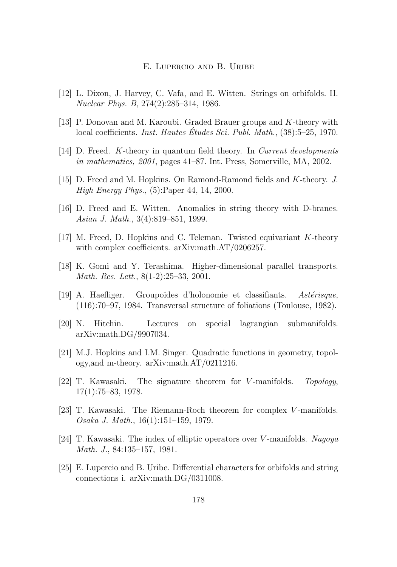- <span id="page-24-0"></span>[12] L. Dixon, J. Harvey, C. Vafa, and E. Witten. Strings on orbifolds. II. *Nuclear Phys. B*, 274(2):285–314, 1986.
- [13] P. Donovan and M. Karoubi. Graded Brauer groups and K-theory with local coefficients. *Inst. Hautes Études Sci. Publ. Math.*, (38):5–25, 1970.
- [14] D. Freed. K-theory in quantum field theory. In *Current developments in mathematics, 2001*, pages 41–87. Int. Press, Somerville, MA, 2002.
- [15] D. Freed and M. Hopkins. On Ramond-Ramond fields and K-theory. *J. High Energy Phys.*, (5):Paper 44, 14, 2000.
- [16] D. Freed and E. Witten. Anomalies in string theory with D-branes. *Asian J. Math.*, 3(4):819–851, 1999.
- [17] M. Freed, D. Hopkins and C. Teleman. Twisted equivariant K-theory with complex coefficients. arXiv:math.AT/0206257.
- [18] K. Gomi and Y. Terashima. Higher-dimensional parallel transports. *Math. Res. Lett.*, 8(1-2):25–33, 2001.
- [19] A. Haefliger. Groupoïdes d'holonomie et classifiants. *Astérisque*, (116):70–97, 1984. Transversal structure of foliations (Toulouse, 1982).
- [20] N. Hitchin. Lectures on special lagrangian submanifolds. arXiv:math.DG/9907034.
- [21] M.J. Hopkins and I.M. Singer. Quadratic functions in geometry, topology,and m-theory. arXiv:math.AT/0211216.
- [22] T. Kawasaki. The signature theorem for V -manifolds. *Topology*, 17(1):75–83, 1978.
- [23] T. Kawasaki. The Riemann-Roch theorem for complex V -manifolds. *Osaka J. Math.*, 16(1):151–159, 1979.
- [24] T. Kawasaki. The index of elliptic operators over V -manifolds. *Nagoya Math. J.*, 84:135–157, 1981.
- [25] E. Lupercio and B. Uribe. Differential characters for orbifolds and string connections i. arXiv:math.DG/0311008.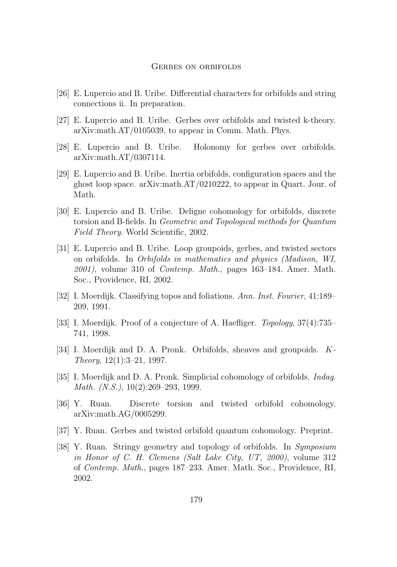#### Gerbes on orbifolds

- <span id="page-25-0"></span>[26] E. Lupercio and B. Uribe. Differential characters for orbifolds and string connections ii. In preparation.
- [27] E. Lupercio and B. Uribe. Gerbes over orbifolds and twisted k-theory. arXiv:math.AT/0105039, to appear in Comm. Math. Phys.
- [28] E. Lupercio and B. Uribe. Holonomy for gerbes over orbifolds. arXiv:math.AT/0307114.
- [29] E. Lupercio and B. Uribe. Inertia orbifolds, configuration spaces and the ghost loop space. arXiv:math.AT/0210222, to appear in Quart. Jour. of Math.
- [30] E. Lupercio and B. Uribe. Deligne cohomology for orbifolds, discrete torsion and B-fields. In *Geometric and Topological methods for Quantum Field Theory*. World Scientific, 2002.
- [31] E. Lupercio and B. Uribe. Loop groupoids, gerbes, and twisted sectors on orbifolds. In *Orbifolds in mathematics and physics (Madison, WI, 2001)*, volume 310 of *Contemp. Math.*, pages 163–184. Amer. Math. Soc., Providence, RI, 2002.
- [32] I. Moerdijk. Classifying topos and foliations. *Ann. Inst. Fourier*, 41:189– 209, 1991.
- [33] I. Moerdijk. Proof of a conjecture of A. Haefliger. *Topology*, 37(4):735– 741, 1998.
- [34] I. Moerdijk and D. A. Pronk. Orbifolds, sheaves and groupoids. K*-Theory*, 12(1):3–21, 1997.
- [35] I. Moerdijk and D. A. Pronk. Simplicial cohomology of orbifolds. *Indag. Math. (N.S.)*, 10(2):269–293, 1999.
- [36] Y. Ruan. Discrete torsion and twisted orbifold cohomology. arXiv:math.AG/0005299.
- [37] Y. Ruan. Gerbes and twisted orbifold quantum cohomology. Preprint.
- [38] Y. Ruan. Stringy geometry and topology of orbifolds. In *Symposium in Honor of C. H. Clemens (Salt Lake City, UT, 2000)*, volume 312 of *Contemp. Math.*, pages 187–233. Amer. Math. Soc., Providence, RI, 2002.